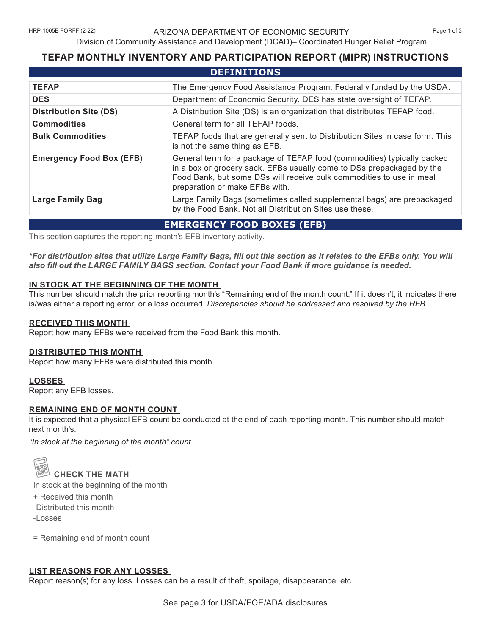# Division of Community Assistance and Development (DCAD)– Coordinated Hunger Relief Program

# **TEFAP MONTHLY INVENTORY AND PARTICIPATION REPORT (MIPR) INSTRUCTIONS**

| <b>DEFINITIONS</b>                |                                                                                                                                                                                                                                                            |
|-----------------------------------|------------------------------------------------------------------------------------------------------------------------------------------------------------------------------------------------------------------------------------------------------------|
| <b>TEFAP</b>                      | The Emergency Food Assistance Program. Federally funded by the USDA.                                                                                                                                                                                       |
| <b>DES</b>                        | Department of Economic Security. DES has state oversight of TEFAP.                                                                                                                                                                                         |
| <b>Distribution Site (DS)</b>     | A Distribution Site (DS) is an organization that distributes TEFAP food.                                                                                                                                                                                   |
| <b>Commodities</b>                | General term for all TEFAP foods.                                                                                                                                                                                                                          |
| <b>Bulk Commodities</b>           | TEFAP foods that are generally sent to Distribution Sites in case form. This<br>is not the same thing as EFB.                                                                                                                                              |
| <b>Emergency Food Box (EFB)</b>   | General term for a package of TEFAP food (commodities) typically packed<br>in a box or grocery sack. EFBs usually come to DSs prepackaged by the<br>Food Bank, but some DSs will receive bulk commodities to use in meal<br>preparation or make EFBs with. |
| <b>Large Family Bag</b>           | Large Family Bags (sometimes called supplemental bags) are prepackaged<br>by the Food Bank. Not all Distribution Sites use these.                                                                                                                          |
| <b>EMERGENCY FOOD BOXES (EFB)</b> |                                                                                                                                                                                                                                                            |

This section captures the reporting month's EFB inventory activity.

*\*For distribution sites that utilize Large Family Bags, fill out this section as it relates to the EFBs only. You will also fill out the LARGE FAMILY BAGS section. Contact your Food Bank if more guidance is needed.*

## **IN STOCK AT THE BEGINNING OF THE MONTH**

This number should match the prior reporting month's "Remaining end of the month count." If it doesn't, it indicates there is/was either a reporting error, or a loss occurred. *Discrepancies should be addressed and resolved by the RFB.* 

## **RECEIVED THIS MONTH**

Report how many EFBs were received from the Food Bank this month.

#### **DISTRIBUTED THIS MONTH**

Report how many EFBs were distributed this month.

## **LOSSES**

Report any EFB losses.

## **REMAINING END OF MONTH COUNT**

It is expected that a physical EFB count be conducted at the end of each reporting month. This number should match next month's.

*"In stock at the beginning of the month" count.*



# **CHECK THE MATH**

In stock at the beginning of the month

- + Received this month
- -Distributed this month
- -Losses

= Remaining end of month count

## **LIST REASONS FOR ANY LOSSES**

Report reason(s) for any loss. Losses can be a result of theft, spoilage, disappearance, etc.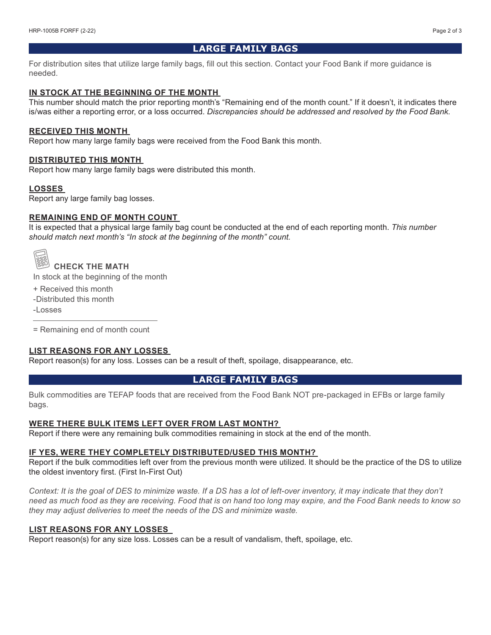# **LARGE FAMILY BAGS**

For distribution sites that utilize large family bags, fill out this section. Contact your Food Bank if more guidance is needed.

## **IN STOCK AT THE BEGINNING OF THE MONTH**

This number should match the prior reporting month's "Remaining end of the month count." If it doesn't, it indicates there is/was either a reporting error, or a loss occurred. *Discrepancies should be addressed and resolved by the Food Bank.* 

#### **RECEIVED THIS MONTH**

Report how many large family bags were received from the Food Bank this month.

#### **DISTRIBUTED THIS MONTH**

Report how many large family bags were distributed this month.

#### **LOSSES**

Report any large family bag losses.

#### **REMAINING END OF MONTH COUNT**

It is expected that a physical large family bag count be conducted at the end of each reporting month. *This number should match next month's "In stock at the beginning of the month" count.*

# **CHECK THE MATH**

In stock at the beginning of the month

- + Received this month
- -Distributed this month
- -Losses

= Remaining end of month count

#### **LIST REASONS FOR ANY LOSSES**

Report reason(s) for any loss. Losses can be a result of theft, spoilage, disappearance, etc.

## **LARGE FAMILY BAGS**

Bulk commodities are TEFAP foods that are received from the Food Bank NOT pre-packaged in EFBs or large family bags.

#### **WERE THERE BULK ITEMS LEFT OVER FROM LAST MONTH?**

Report if there were any remaining bulk commodities remaining in stock at the end of the month.

#### **IF YES, WERE THEY COMPLETELY DISTRIBUTED/USED THIS MONTH?**

Report if the bulk commodities left over from the previous month were utilized. It should be the practice of the DS to utilize the oldest inventory first. (First In-First Out)

*Context: It is the goal of DES to minimize waste. If a DS has a lot of left-over inventory, it may indicate that they don't need as much food as they are receiving. Food that is on hand too long may expire, and the Food Bank needs to know so they may adjust deliveries to meet the needs of the DS and minimize waste.* 

## **LIST REASONS FOR ANY LOSSES**

Report reason(s) for any size loss. Losses can be a result of vandalism, theft, spoilage, etc.